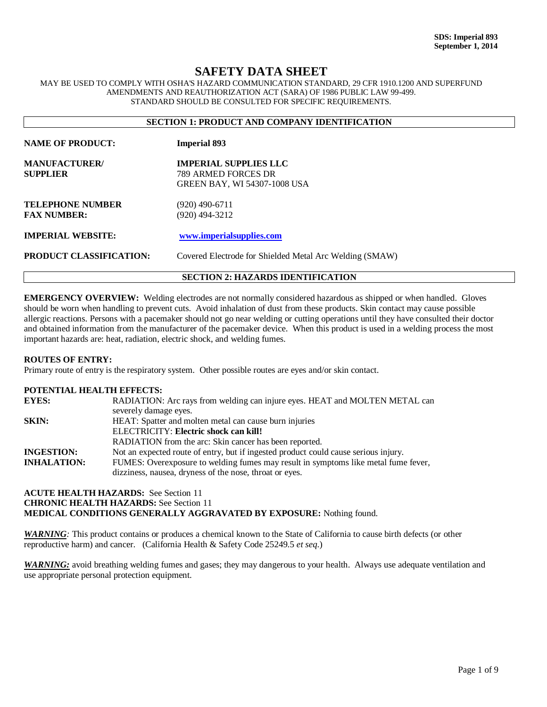# **SAFETY DATA SHEET**

MAY BE USED TO COMPLY WITH OSHA'S HAZARD COMMUNICATION STANDARD, 29 CFR 1910.1200 AND SUPERFUND AMENDMENTS AND REAUTHORIZATION ACT (SARA) OF 1986 PUBLIC LAW 99-499. STANDARD SHOULD BE CONSULTED FOR SPECIFIC REQUIREMENTS.

| <b>SECTION 1: PRODUCT AND COMPANY IDENTIFICATION</b> |                                                                                            |  |
|------------------------------------------------------|--------------------------------------------------------------------------------------------|--|
| <b>NAME OF PRODUCT:</b>                              | <b>Imperial 893</b>                                                                        |  |
| <b>MANUFACTURER/</b><br>SUPPLIER                     | <b>IMPERIAL SUPPLIES LLC</b><br>789 ARMED FORCES DR<br><b>GREEN BAY, WI 54307-1008 USA</b> |  |
| <b>TELEPHONE NUMBER</b><br><b>FAX NUMBER:</b>        | $(920)$ 490-6711<br>$(920)$ 494-3212                                                       |  |
| <b>IMPERIAL WEBSITE:</b><br>PRODUCT CLASSIFICATION:  | www.imperialsupplies.com<br>Covered Electrode for Shielded Metal Arc Welding (SMAW)        |  |
|                                                      | <b>SECTION 2: HAZARDS IDENTIFICATION</b>                                                   |  |

**EMERGENCY OVERVIEW:** Welding electrodes are not normally considered hazardous as shipped or when handled. Gloves should be worn when handling to prevent cuts. Avoid inhalation of dust from these products. Skin contact may cause possible allergic reactions. Persons with a pacemaker should not go near welding or cutting operations until they have consulted their doctor and obtained information from the manufacturer of the pacemaker device. When this product is used in a welding process the most important hazards are: heat, radiation, electric shock, and welding fumes.

#### **ROUTES OF ENTRY:**

Primary route of entry is the respiratory system. Other possible routes are eyes and/or skin contact.

#### **POTENTIAL HEALTH EFFECTS:**

| <b>EYES:</b>       | RADIATION: Arc rays from welding can injure eyes. HEAT and MOLTEN METAL can         |
|--------------------|-------------------------------------------------------------------------------------|
|                    | severely damage eyes.                                                               |
| <b>SKIN:</b>       | HEAT: Spatter and molten metal can cause burn injuries                              |
|                    | ELECTRICITY: Electric shock can kill!                                               |
|                    | RADIATION from the arc: Skin cancer has been reported.                              |
| <b>INGESTION:</b>  | Not an expected route of entry, but if ingested product could cause serious injury. |
| <b>INHALATION:</b> | FUMES: Overexposure to welding fumes may result in symptoms like metal fume fever,  |
|                    | dizziness, nausea, dryness of the nose, throat or eyes.                             |

## **ACUTE HEALTH HAZARDS:** See Section 11 **CHRONIC HEALTH HAZARDS:** See Section 11 **MEDICAL CONDITIONS GENERALLY AGGRAVATED BY EXPOSURE:** Nothing found.

*WARNING:* This product contains or produces a chemical known to the State of California to cause birth defects (or other reproductive harm) and cancer. (California Health & Safety Code 25249.5 *et seq*.)

*WARNING:* avoid breathing welding fumes and gases; they may dangerous to your health. Always use adequate ventilation and use appropriate personal protection equipment.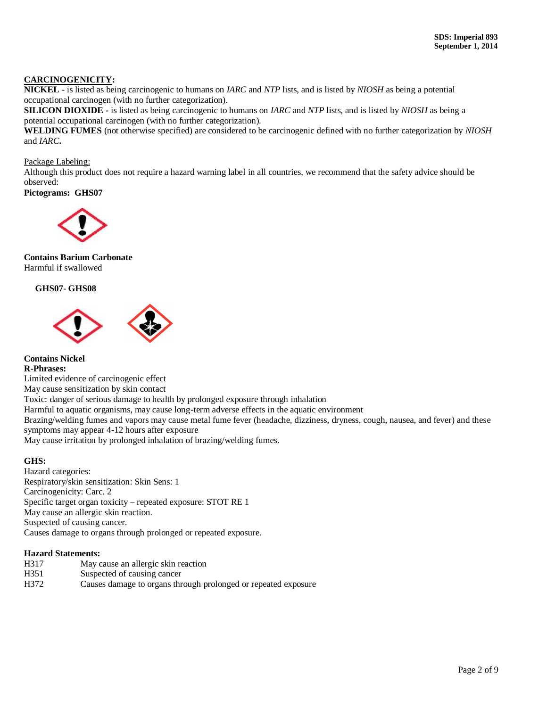### **CARCINOGENICITY:**

**NICKEL** - is listed as being carcinogenic to humans on *IARC* and *NTP* lists, and is listed by *NIOSH* as being a potential occupational carcinogen (with no further categorization).

**SILICON DIOXIDE -** is listed as being carcinogenic to humans on *IARC* and *NTP* lists, and is listed by *NIOSH* as being a potential occupational carcinogen (with no further categorization).

**WELDING FUMES** (not otherwise specified) are considered to be carcinogenic defined with no further categorization by *NIOSH* and *IARC***.**

Package Labeling:

Although this product does not require a hazard warning label in all countries, we recommend that the safety advice should be observed:

#### **Pictograms: GHS07**



#### **Contains Barium Carbonate** Harmful if swallowed

### **GHS07- GHS08**



**Contains Nickel R-Phrases:** Limited evidence of carcinogenic effect May cause sensitization by skin contact Toxic: danger of serious damage to health by prolonged exposure through inhalation Harmful to aquatic organisms, may cause long-term adverse effects in the aquatic environment Brazing/welding fumes and vapors may cause metal fume fever (headache, dizziness, dryness, cough, nausea, and fever) and these symptoms may appear 4-12 hours after exposure May cause irritation by prolonged inhalation of brazing/welding fumes.

#### **GHS:**

Hazard categories: Respiratory/skin sensitization: Skin Sens: 1 Carcinogenicity: Carc. 2 Specific target organ toxicity – repeated exposure: STOT RE 1 May cause an allergic skin reaction. Suspected of causing cancer. Causes damage to organs through prolonged or repeated exposure.

#### **Hazard Statements:**

- H317 May cause an allergic skin reaction
- H351 Suspected of causing cancer
- H372 Causes damage to organs through prolonged or repeated exposure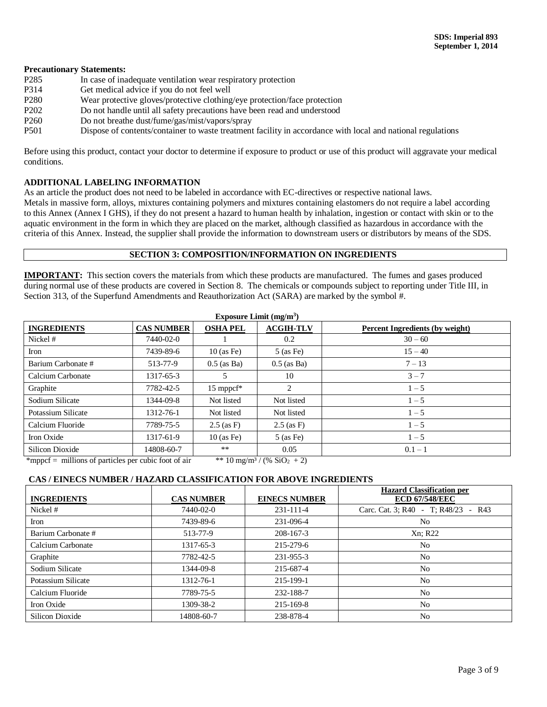#### **Precautionary Statements:**

- P285 In case of inadequate ventilation wear respiratory protection
- P314 Get medical advice if you do not feel well
- P280 Wear protective gloves/protective clothing/eye protection/face protection
- P202 Do not handle until all safety precautions have been read and understood
- P260 Do not breathe dust/fume/gas/mist/vapors/spray
- P501 Dispose of contents/container to waste treatment facility in accordance with local and national regulations

Before using this product, contact your doctor to determine if exposure to product or use of this product will aggravate your medical conditions.

## **ADDITIONAL LABELING INFORMATION**

As an article the product does not need to be labeled in accordance with EC-directives or respective national laws.

Metals in massive form, alloys, mixtures containing polymers and mixtures containing elastomers do not require a label according to this Annex (Annex I GHS), if they do not present a hazard to human health by inhalation, ingestion or contact with skin or to the aquatic environment in the form in which they are placed on the market, although classified as hazardous in accordance with the criteria of this Annex. Instead, the supplier shall provide the information to downstream users or distributors by means of the SDS.

### **SECTION 3: COMPOSITION/INFORMATION ON INGREDIENTS**

**IMPORTANT:** This section covers the materials from which these products are manufactured. The fumes and gases produced during normal use of these products are covered in Section 8. The chemicals or compounds subject to reporting under Title III, in Section 313, of the Superfund Amendments and Reauthorization Act (SARA) are marked by the symbol #.

| <b>INGREDIENTS</b> | <b>CAS NUMBER</b> | <b>OSHA PEL</b>         | <b>ACGIH-TLV</b> | <b>Percent Ingredients (by weight)</b> |
|--------------------|-------------------|-------------------------|------------------|----------------------------------------|
| Nickel #           | 7440-02-0         |                         | 0.2              | $30 - 60$                              |
| Iron               | 7439-89-6         | $10$ (as Fe)            | $5$ (as Fe)      | $15 - 40$                              |
| Barium Carbonate # | 513-77-9          | $0.5$ (as Ba)           | $0.5$ (as Ba)    | $7 - 13$                               |
| Calcium Carbonate  | 1317-65-3         | 5                       | 10               | $3 - 7$                                |
| Graphite           | 7782-42-5         | $15$ mppcf <sup>*</sup> | 2                | $1 - 5$                                |
| Sodium Silicate    | 1344-09-8         | Not listed              | Not listed       | $1 - 5$                                |
| Potassium Silicate | 1312-76-1         | Not listed              | Not listed       | $1 - 5$                                |
| Calcium Fluoride   | 7789-75-5         | $2.5$ (as F)            | $2.5$ (as F)     | $1 - 5$                                |
| Iron Oxide         | 1317-61-9         | $10$ (as Fe)            | $5$ (as Fe)      | $1 - 5$                                |
| Silicon Dioxide    | 14808-60-7        | **                      | 0.05             | $0.1 - 1$                              |

\*mppcf = millions of particles per cubic foot of air  $*$  \*\* 10 mg/m<sup>3</sup> / (% SiO<sub>2</sub> + 2)

### **CAS / EINECS NUMBER / HAZARD CLASSIFICATION FOR ABOVE INGREDIENTS**

| <b>INGREDIENTS</b> | <b>CAS NUMBER</b> | <b>EINECS NUMBER</b> | <b>Hazard Classification per</b><br><b>ECD 67/548/EEC</b> |
|--------------------|-------------------|----------------------|-----------------------------------------------------------|
| Nickel #           | 7440-02-0         | $231 - 111 - 4$      | Carc. Cat. 3; R40 - T; R48/23 - R43                       |
| Iron               | 7439-89-6         | 231-096-4            | N <sub>o</sub>                                            |
| Barium Carbonate # | 513-77-9          | 208-167-3            | Xn; R22                                                   |
| Calcium Carbonate  | 1317-65-3         | 215-279-6            | N <sub>o</sub>                                            |
| Graphite           | 7782-42-5         | 231-955-3            | N <sub>o</sub>                                            |
| Sodium Silicate    | 1344-09-8         | 215-687-4            | N <sub>o</sub>                                            |
| Potassium Silicate | 1312-76-1         | 215-199-1            | N <sub>o</sub>                                            |
| Calcium Fluoride   | 7789-75-5         | 232-188-7            | N <sub>o</sub>                                            |
| Iron Oxide         | 1309-38-2         | 215-169-8            | N <sub>o</sub>                                            |
| Silicon Dioxide    | 14808-60-7        | 238-878-4            | N <sub>0</sub>                                            |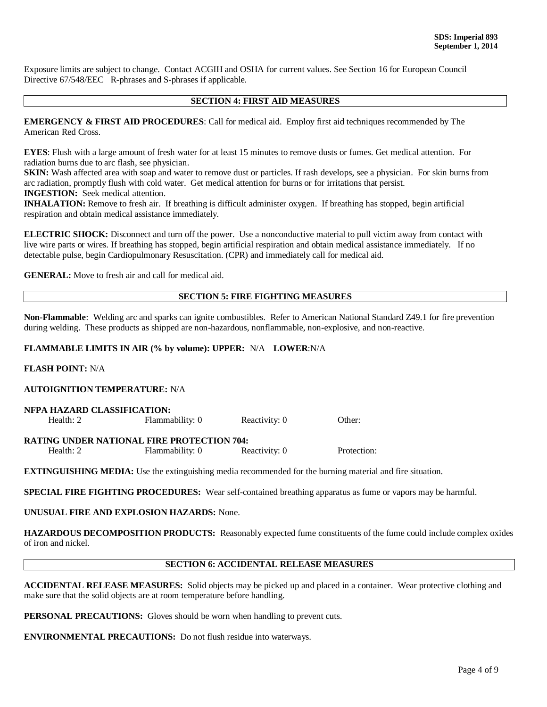Exposure limits are subject to change. Contact ACGIH and OSHA for current values. See Section 16 for European Council Directive 67/548/EEC R-phrases and S-phrases if applicable.

#### **SECTION 4: FIRST AID MEASURES**

**EMERGENCY & FIRST AID PROCEDURES**: Call for medical aid. Employ first aid techniques recommended by The American Red Cross.

**EYES**: Flush with a large amount of fresh water for at least 15 minutes to remove dusts or fumes. Get medical attention. For radiation burns due to arc flash, see physician.

**SKIN:** Wash affected area with soap and water to remove dust or particles. If rash develops, see a physician. For skin burns from arc radiation, promptly flush with cold water. Get medical attention for burns or for irritations that persist. **INGESTION:** Seek medical attention.

**INHALATION:** Remove to fresh air. If breathing is difficult administer oxygen. If breathing has stopped, begin artificial respiration and obtain medical assistance immediately.

**ELECTRIC SHOCK:** Disconnect and turn off the power. Use a nonconductive material to pull victim away from contact with live wire parts or wires. If breathing has stopped, begin artificial respiration and obtain medical assistance immediately. If no detectable pulse, begin Cardiopulmonary Resuscitation. (CPR) and immediately call for medical aid.

**GENERAL:** Move to fresh air and call for medical aid.

### **SECTION 5: FIRE FIGHTING MEASURES**

**Non-Flammable**: Welding arc and sparks can ignite combustibles. Refer to American National Standard Z49.1 for fire prevention during welding. These products as shipped are non-hazardous, nonflammable, non-explosive, and non-reactive.

### **FLAMMABLE LIMITS IN AIR (% by volume): UPPER:** N/A **LOWER**:N/A

### **FLASH POINT:** N/A

#### **AUTOIGNITION TEMPERATURE:** N/A

| NFPA HAZARD CLASSIFICATION: |                 |               |        |  |
|-----------------------------|-----------------|---------------|--------|--|
| Health: 2                   | Flammability: 0 | Reactivity: 0 | Other: |  |

**RATING UNDER NATIONAL FIRE PROTECTION 704:** Health: 2 Flammability: 0 Reactivity: 0 Protection:

**EXTINGUISHING MEDIA:** Use the extinguishing media recommended for the burning material and fire situation.

**SPECIAL FIRE FIGHTING PROCEDURES:** Wear self-contained breathing apparatus as fume or vapors may be harmful.

## **UNUSUAL FIRE AND EXPLOSION HAZARDS:** None.

**HAZARDOUS DECOMPOSITION PRODUCTS:** Reasonably expected fume constituents of the fume could include complex oxides of iron and nickel.

### **SECTION 6: ACCIDENTAL RELEASE MEASURES**

**ACCIDENTAL RELEASE MEASURES:** Solid objects may be picked up and placed in a container. Wear protective clothing and make sure that the solid objects are at room temperature before handling.

**PERSONAL PRECAUTIONS:** Gloves should be worn when handling to prevent cuts.

**ENVIRONMENTAL PRECAUTIONS:** Do not flush residue into waterways.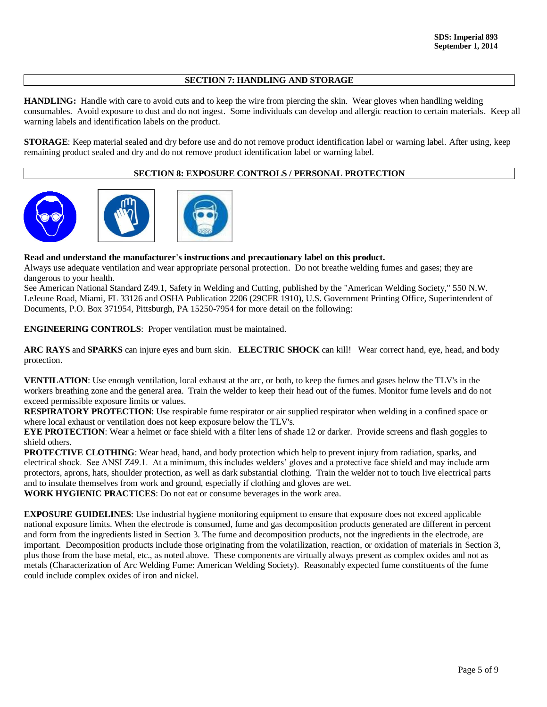## **SECTION 7: HANDLING AND STORAGE**

**HANDLING:** Handle with care to avoid cuts and to keep the wire from piercing the skin. Wear gloves when handling welding consumables. Avoid exposure to dust and do not ingest. Some individuals can develop and allergic reaction to certain materials. Keep all warning labels and identification labels on the product.

**STORAGE**: Keep material sealed and dry before use and do not remove product identification label or warning label. After using, keep remaining product sealed and dry and do not remove product identification label or warning label.

## **SECTION 8: EXPOSURE CONTROLS / PERSONAL PROTECTION**



## **Read and understand the manufacturer's instructions and precautionary label on this product.**

Always use adequate ventilation and wear appropriate personal protection. Do not breathe welding fumes and gases; they are dangerous to your health.

See American National Standard Z49.1, Safety in Welding and Cutting, published by the "American Welding Society," 550 N.W. LeJeune Road, Miami, FL 33126 and OSHA Publication 2206 (29CFR 1910), U.S. Government Printing Office, Superintendent of Documents, P.O. Box 371954, Pittsburgh, PA 15250-7954 for more detail on the following:

**ENGINEERING CONTROLS**: Proper ventilation must be maintained.

**ARC RAYS** and **SPARKS** can injure eyes and burn skin. **ELECTRIC SHOCK** can kill! Wear correct hand, eye, head, and body protection.

**VENTILATION**: Use enough ventilation, local exhaust at the arc, or both, to keep the fumes and gases below the TLV's in the workers breathing zone and the general area. Train the welder to keep their head out of the fumes. Monitor fume levels and do not exceed permissible exposure limits or values.

**RESPIRATORY PROTECTION**: Use respirable fume respirator or air supplied respirator when welding in a confined space or where local exhaust or ventilation does not keep exposure below the TLV's.

**EYE PROTECTION:** Wear a helmet or face shield with a filter lens of shade 12 or darker. Provide screens and flash goggles to shield others.

**PROTECTIVE CLOTHING**: Wear head, hand, and body protection which help to prevent injury from radiation, sparks, and electrical shock. See ANSI Z49.1. At a minimum, this includes welders' gloves and a protective face shield and may include arm protectors, aprons, hats, shoulder protection, as well as dark substantial clothing. Train the welder not to touch live electrical parts and to insulate themselves from work and ground, especially if clothing and gloves are wet.

**WORK HYGIENIC PRACTICES**: Do not eat or consume beverages in the work area.

**EXPOSURE GUIDELINES:** Use industrial hygiene monitoring equipment to ensure that exposure does not exceed applicable national exposure limits. When the electrode is consumed, fume and gas decomposition products generated are different in percent and form from the ingredients listed in Section 3. The fume and decomposition products, not the ingredients in the electrode, are important. Decomposition products include those originating from the volatilization, reaction, or oxidation of materials in Section 3, plus those from the base metal, etc., as noted above. These components are virtually always present as complex oxides and not as metals (Characterization of Arc Welding Fume: American Welding Society). Reasonably expected fume constituents of the fume could include complex oxides of iron and nickel.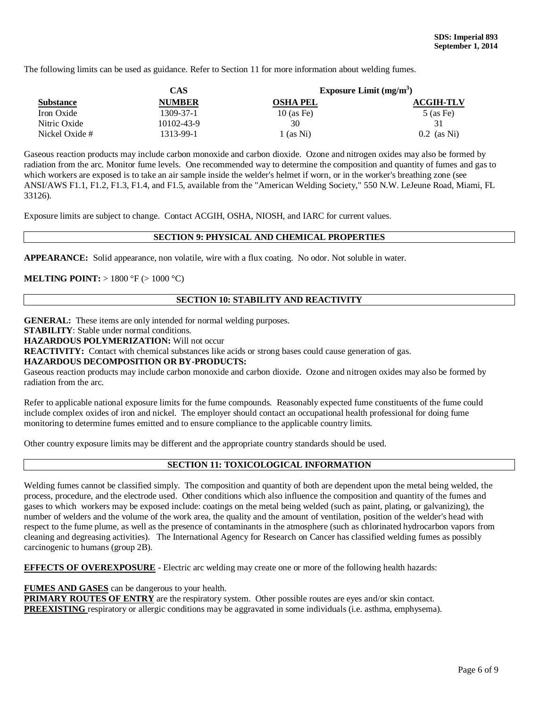The following limits can be used as guidance. Refer to Section 11 for more information about welding fumes.

|                  | CAS           |                 | Exposure Limit $(mg/m3)$ |
|------------------|---------------|-----------------|--------------------------|
| <b>Substance</b> | <b>NUMBER</b> | <b>OSHA PEL</b> | <b>ACGIH-TLV</b>         |
| Iron Oxide       | 1309-37-1     | $10$ (as Fe)    | $5$ (as Fe)              |
| Nitric Oxide     | 10102-43-9    | 30              | 31                       |
| Nickel Oxide #   | 1313-99-1     | 1 (as Ni)       | $0.2$ (as Ni)            |

Gaseous reaction products may include carbon monoxide and carbon dioxide. Ozone and nitrogen oxides may also be formed by radiation from the arc. Monitor fume levels. One recommended way to determine the composition and quantity of fumes and gas to which workers are exposed is to take an air sample inside the welder's helmet if worn, or in the worker's breathing zone (see ANSI/AWS F1.1, F1.2, F1.3, F1.4, and F1.5, available from the "American Welding Society," 550 N.W. LeJeune Road, Miami, FL 33126).

Exposure limits are subject to change. Contact ACGIH, OSHA, NIOSH, and IARC for current values.

## **SECTION 9: PHYSICAL AND CHEMICAL PROPERTIES**

**APPEARANCE:** Solid appearance, non volatile, wire with a flux coating. No odor. Not soluble in water.

### **MELTING POINT:** > 1800 °F (> 1000 °C)

## **SECTION 10: STABILITY AND REACTIVITY**

**GENERAL:** These items are only intended for normal welding purposes.

**STABILITY**: Stable under normal conditions.

**HAZARDOUS POLYMERIZATION:** Will not occur

**REACTIVITY:** Contact with chemical substances like acids or strong bases could cause generation of gas.

#### **HAZARDOUS DECOMPOSITION OR BY-PRODUCTS:**

Gaseous reaction products may include carbon monoxide and carbon dioxide. Ozone and nitrogen oxides may also be formed by radiation from the arc.

Refer to applicable national exposure limits for the fume compounds. Reasonably expected fume constituents of the fume could include complex oxides of iron and nickel. The employer should contact an occupational health professional for doing fume monitoring to determine fumes emitted and to ensure compliance to the applicable country limits.

Other country exposure limits may be different and the appropriate country standards should be used.

### **SECTION 11: TOXICOLOGICAL INFORMATION**

Welding fumes cannot be classified simply. The composition and quantity of both are dependent upon the metal being welded, the process, procedure, and the electrode used. Other conditions which also influence the composition and quantity of the fumes and gases to which workers may be exposed include: coatings on the metal being welded (such as paint, plating, or galvanizing), the number of welders and the volume of the work area, the quality and the amount of ventilation, position of the welder's head with respect to the fume plume, as well as the presence of contaminants in the atmosphere (such as chlorinated hydrocarbon vapors from cleaning and degreasing activities). The International Agency for Research on Cancer has classified welding fumes as possibly carcinogenic to humans (group 2B).

**EFFECTS OF OVEREXPOSURE** - Electric arc welding may create one or more of the following health hazards:

#### **FUMES AND GASES** can be dangerous to your health.

**PRIMARY ROUTES OF ENTRY** are the respiratory system. Other possible routes are eyes and/or skin contact. **PREEXISTING** respiratory or allergic conditions may be aggravated in some individuals (i.e. asthma, emphysema).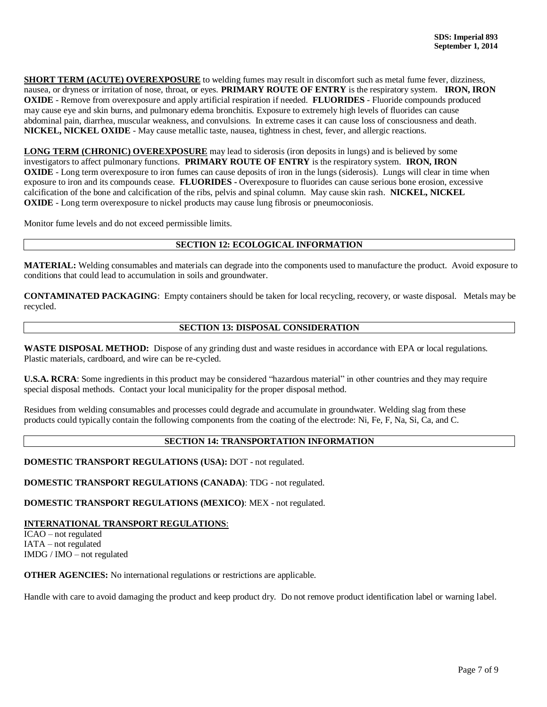**SHORT TERM (ACUTE) OVEREXPOSURE** to welding fumes may result in discomfort such as metal fume fever, dizziness, nausea, or dryness or irritation of nose, throat, or eyes. **PRIMARY ROUTE OF ENTRY** is the respiratory system. **IRON, IRON OXIDE** - Remove from overexposure and apply artificial respiration if needed. **FLUORIDES** - Fluoride compounds produced may cause eye and skin burns, and pulmonary edema bronchitis. Exposure to extremely high levels of fluorides can cause abdominal pain, diarrhea, muscular weakness, and convulsions. In extreme cases it can cause loss of consciousness and death. **NICKEL, NICKEL OXIDE** - May cause metallic taste, nausea, tightness in chest, fever, and allergic reactions.

**LONG TERM (CHRONIC) OVEREXPOSURE** may lead to siderosis (iron deposits in lungs) and is believed by some investigators to affect pulmonary functions. **PRIMARY ROUTE OF ENTRY** is the respiratory system. **IRON, IRON OXIDE** - Long term overexposure to iron fumes can cause deposits of iron in the lungs (siderosis). Lungs will clear in time when exposure to iron and its compounds cease. **FLUORIDES -** Overexposure to fluorides can cause serious bone erosion, excessive calcification of the bone and calcification of the ribs, pelvis and spinal column. May cause skin rash. **NICKEL, NICKEL OXIDE** - Long term overexposure to nickel products may cause lung fibrosis or pneumoconiosis.

Monitor fume levels and do not exceed permissible limits.

### **SECTION 12: ECOLOGICAL INFORMATION**

**MATERIAL:** Welding consumables and materials can degrade into the components used to manufacture the product. Avoid exposure to conditions that could lead to accumulation in soils and groundwater.

**CONTAMINATED PACKAGING**: Empty containers should be taken for local recycling, recovery, or waste disposal. Metals may be recycled.

### **SECTION 13: DISPOSAL CONSIDERATION**

**WASTE DISPOSAL METHOD:** Dispose of any grinding dust and waste residues in accordance with EPA or local regulations. Plastic materials, cardboard, and wire can be re-cycled.

**U.S.A. RCRA**: Some ingredients in this product may be considered "hazardous material" in other countries and they may require special disposal methods. Contact your local municipality for the proper disposal method.

Residues from welding consumables and processes could degrade and accumulate in groundwater. Welding slag from these products could typically contain the following components from the coating of the electrode: Ni, Fe, F, Na, Si, Ca, and C.

## **SECTION 14: TRANSPORTATION INFORMATION**

**DOMESTIC TRANSPORT REGULATIONS (USA):** DOT - not regulated.

**DOMESTIC TRANSPORT REGULATIONS (CANADA)**: TDG - not regulated.

**DOMESTIC TRANSPORT REGULATIONS (MEXICO)**: MEX - not regulated.

## **INTERNATIONAL TRANSPORT REGULATIONS**:

ICAO – not regulated IATA – not regulated IMDG / IMO – not regulated

**OTHER AGENCIES:** No international regulations or restrictions are applicable.

Handle with care to avoid damaging the product and keep product dry. Do not remove product identification label or warning label.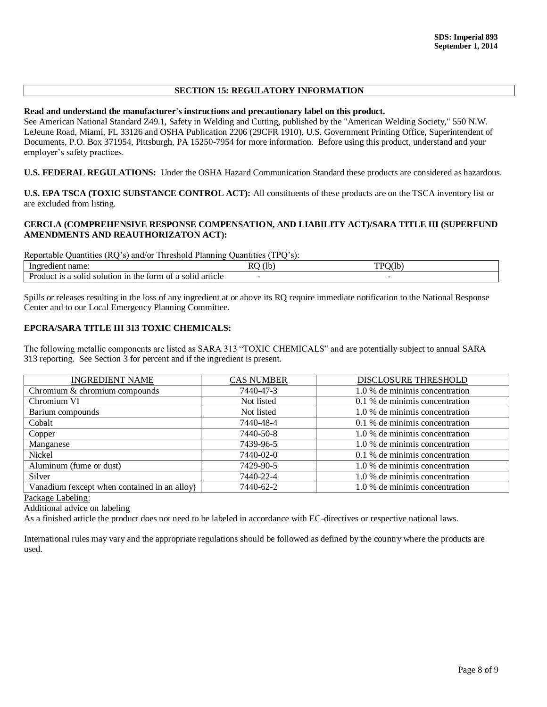## **SECTION 15: REGULATORY INFORMATION**

#### **Read and understand the manufacturer's instructions and precautionary label on this product.**

See American National Standard Z49.1, Safety in Welding and Cutting, published by the "American Welding Society," 550 N.W. LeJeune Road, Miami, FL 33126 and OSHA Publication 2206 (29CFR 1910), U.S. Government Printing Office, Superintendent of Documents, P.O. Box 371954, Pittsburgh, PA 15250-7954 for more information. Before using this product, understand and your employer's safety practices.

**U.S. FEDERAL REGULATIONS:** Under the OSHA Hazard Communication Standard these products are considered as hazardous.

**U.S. EPA TSCA (TOXIC SUBSTANCE CONTROL ACT):** All constituents of these products are on the TSCA inventory list or are excluded from listing.

### **CERCLA (COMPREHENSIVE RESPONSE COMPENSATION, AND LIABILITY ACT)/SARA TITLE III (SUPERFUND AMENDMENTS AND REAUTHORIZATON ACT):**

Reportable Quantities (RQ's) and/or Threshold Planning Quantities (TPQ's):

| name<br>$\sim$ $\sim$ $\sim$<br>earent                                                      | (lt<br>RO | 20/11<br>TD <sub>L</sub><br>. . |
|---------------------------------------------------------------------------------------------|-----------|---------------------------------|
| н.<br>article<br>n of a solid<br>the.<br>torm<br>1n<br>solution<br>roduct.<br>a solia<br>18 |           |                                 |

Spills or releases resulting in the loss of any ingredient at or above its RQ require immediate notification to the National Response Center and to our Local Emergency Planning Committee.

### **EPCRA/SARA TITLE III 313 TOXIC CHEMICALS:**

The following metallic components are listed as SARA 313 "TOXIC CHEMICALS" and are potentially subject to annual SARA 313 reporting. See Section 3 for percent and if the ingredient is present.

| <b>INGREDIENT NAME</b>                       | <b>CAS NUMBER</b> | DISCLOSURE THRESHOLD           |
|----------------------------------------------|-------------------|--------------------------------|
| Chromium & chromium compounds                | 7440-47-3         | 1.0 % de minimis concentration |
| Chromium VI                                  | Not listed        | 0.1 % de minimis concentration |
| Barium compounds                             | Not listed        | 1.0 % de minimis concentration |
| Cobalt                                       | 7440-48-4         | 0.1 % de minimis concentration |
| Copper                                       | 7440-50-8         | 1.0 % de minimis concentration |
| Manganese                                    | 7439-96-5         | 1.0 % de minimis concentration |
| Nickel                                       | 7440-02-0         | 0.1 % de minimis concentration |
| Aluminum (fume or dust)                      | 7429-90-5         | 1.0 % de minimis concentration |
| Silver                                       | 7440-22-4         | 1.0 % de minimis concentration |
| Vanadium (except when contained in an alloy) | 7440-62-2         | 1.0 % de minimis concentration |

Package Labeling:

Additional advice on labeling

As a finished article the product does not need to be labeled in accordance with EC-directives or respective national laws.

International rules may vary and the appropriate regulations should be followed as defined by the country where the products are used.